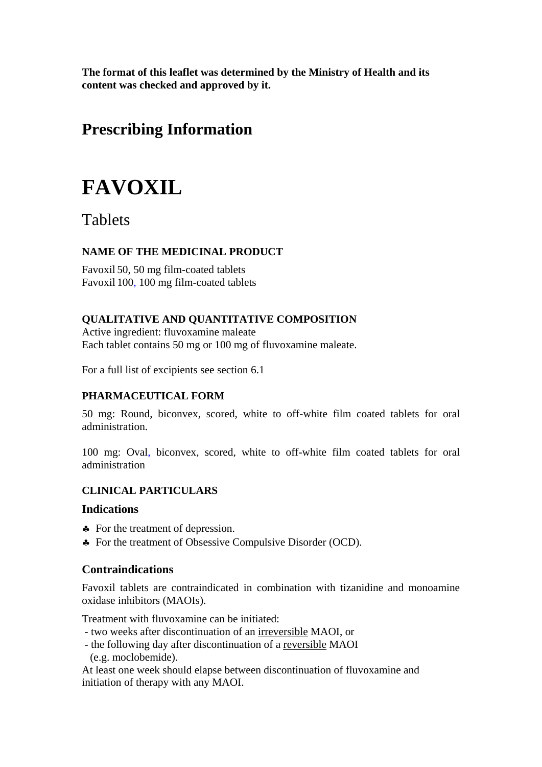**The format of this leaflet was determined by the Ministry of Health and its content was checked and approved by it.**

## **Prescribing Information**

# **FAVOXIL**

## **Tablets**

## **NAME OF THE MEDICINAL PRODUCT**

Favoxil 50, 50 mg film-coated tablets Favoxil 100, 100 mg film-coated tablets

## **QUALITATIVE AND QUANTITATIVE COMPOSITION**

Active ingredient: fluvoxamine maleate Each tablet contains 50 mg or 100 mg of fluvoxamine maleate.

For a full list of excipients see section 6.1

## **PHARMACEUTICAL FORM**

50 mg: Round, biconvex, scored, white to off-white film coated tablets for oral administration.

100 mg: Oval, biconvex, scored, white to off-white film coated tablets for oral administration

## **CLINICAL PARTICULARS**

## **Indications**

- ♣ For the treatment of depression.
- ♣ For the treatment of Obsessive Compulsive Disorder (OCD).

## **Contraindications**

Favoxil tablets are contraindicated in combination with tizanidine and monoamine oxidase inhibitors (MAOIs).

Treatment with fluvoxamine can be initiated:

- two weeks after discontinuation of an irreversible MAOI, or
- the following day after discontinuation of a reversible MAOI (e.g. moclobemide).

At least one week should elapse between discontinuation of fluvoxamine and initiation of therapy with any MAOI.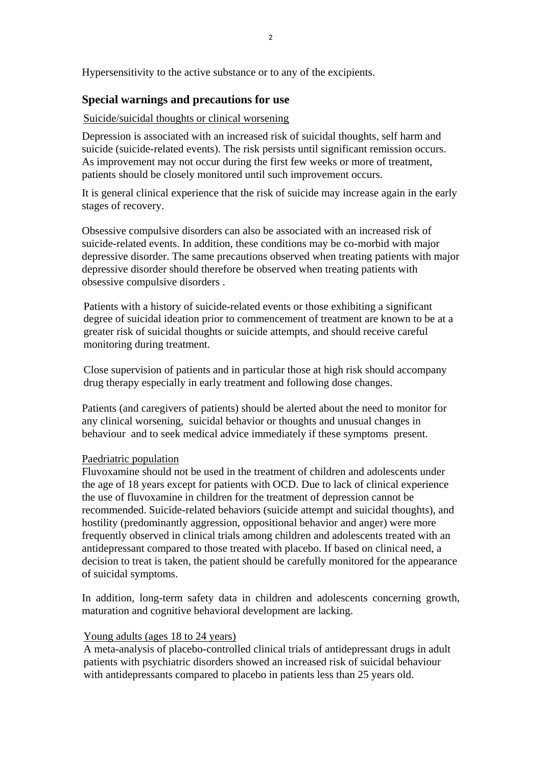Hypersensitivity to the active substance or to any of the excipients.

## **Special warnings and precautions for use**

## Suicide/suicidal thoughts or clinical worsening

Depression is associated with an increased risk of suicidal thoughts, self harm and suicide (suicide-related events). The risk persists until significant remission occurs. As improvement may not occur during the first few weeks or more of treatment, patients should be closely monitored until such improvement occurs.

It is general clinical experience that the risk of suicide may increase again in the early stages of recovery.

Obsessive compulsive disorders can also be associated with an increased risk of suicide-related events. In addition, these conditions may be co-morbid with major depressive disorder. The same precautions observed when treating patients with major depressive disorder should therefore be observed when treating patients with obsessive compulsive disorders .

Patients with a history of suicide-related events or those exhibiting a significant degree of suicidal ideation prior to commencement of treatment are known to be at a greater risk of suicidal thoughts or suicide attempts, and should receive careful monitoring during treatment.

Close supervision of patients and in particular those at high risk should accompany drug therapy especially in early treatment and following dose changes.

Patients (and caregivers of patients) should be alerted about the need to monitor for any clinical worsening, suicidal behavior or thoughts and unusual changes in behaviour and to seek medical advice immediately if these symptoms present.

#### Paedriatric population

Fluvoxamine should not be used in the treatment of children and adolescents under the age of 18 years except for patients with OCD. Due to lack of clinical experience the use of fluvoxamine in children for the treatment of depression cannot be recommended. Suicide-related behaviors (suicide attempt and suicidal thoughts), and hostility (predominantly aggression, oppositional behavior and anger) were more frequently observed in clinical trials among children and adolescents treated with an antidepressant compared to those treated with placebo. If based on clinical need, a decision to treat is taken, the patient should be carefully monitored for the appearance of suicidal symptoms.

In addition, long-term safety data in children and adolescents concerning growth, maturation and cognitive behavioral development are lacking.

#### Young adults (ages 18 to 24 years)

A meta-analysis of placebo-controlled clinical trials of antidepressant drugs in adult patients with psychiatric disorders showed an increased risk of suicidal behaviour with antidepressants compared to placebo in patients less than 25 years old.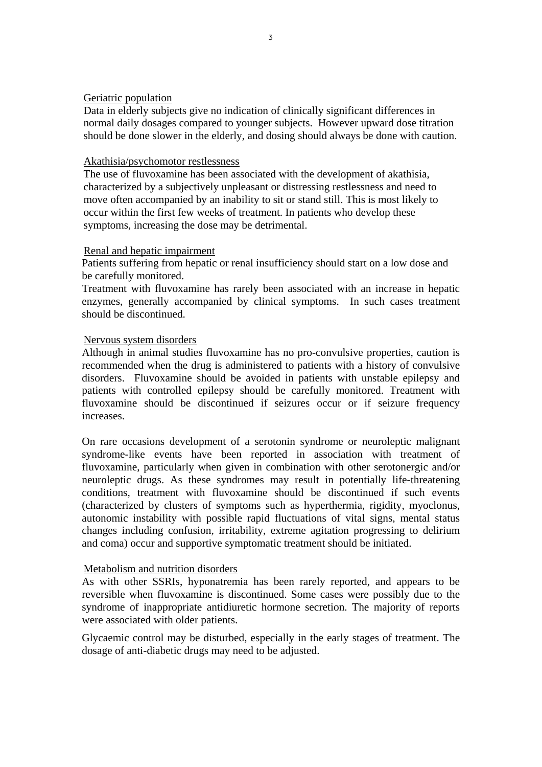#### Geriatric population

Data in elderly subjects give no indication of clinically significant differences in normal daily dosages compared to younger subjects. However upward dose titration should be done slower in the elderly, and dosing should always be done with caution.

#### Akathisia/psychomotor restlessness

The use of fluvoxamine has been associated with the development of akathisia, characterized by a subjectively unpleasant or distressing restlessness and need to move often accompanied by an inability to sit or stand still. This is most likely to occur within the first few weeks of treatment. In patients who develop these symptoms, increasing the dose may be detrimental.

#### Renal and hepatic impairment

Patients suffering from hepatic or renal insufficiency should start on a low dose and be carefully monitored.

Treatment with fluvoxamine has rarely been associated with an increase in hepatic enzymes, generally accompanied by clinical symptoms. In such cases treatment should be discontinued.

#### Nervous system disorders

Although in animal studies fluvoxamine has no pro-convulsive properties, caution is recommended when the drug is administered to patients with a history of convulsive disorders. Fluvoxamine should be avoided in patients with unstable epilepsy and patients with controlled epilepsy should be carefully monitored. Treatment with fluvoxamine should be discontinued if seizures occur or if seizure frequency increases.

On rare occasions development of a serotonin syndrome or neuroleptic malignant syndrome-like events have been reported in association with treatment of fluvoxamine, particularly when given in combination with other serotonergic and/or neuroleptic drugs. As these syndromes may result in potentially life-threatening conditions, treatment with fluvoxamine should be discontinued if such events (characterized by clusters of symptoms such as hyperthermia, rigidity, myoclonus, autonomic instability with possible rapid fluctuations of vital signs, mental status changes including confusion, irritability, extreme agitation progressing to delirium and coma) occur and supportive symptomatic treatment should be initiated.

#### Metabolism and nutrition disorders

As with other SSRIs, hyponatremia has been rarely reported, and appears to be reversible when fluvoxamine is discontinued. Some cases were possibly due to the syndrome of inappropriate antidiuretic hormone secretion. The majority of reports were associated with older patients.

Glycaemic control may be disturbed, especially in the early stages of treatment. The dosage of anti-diabetic drugs may need to be adjusted.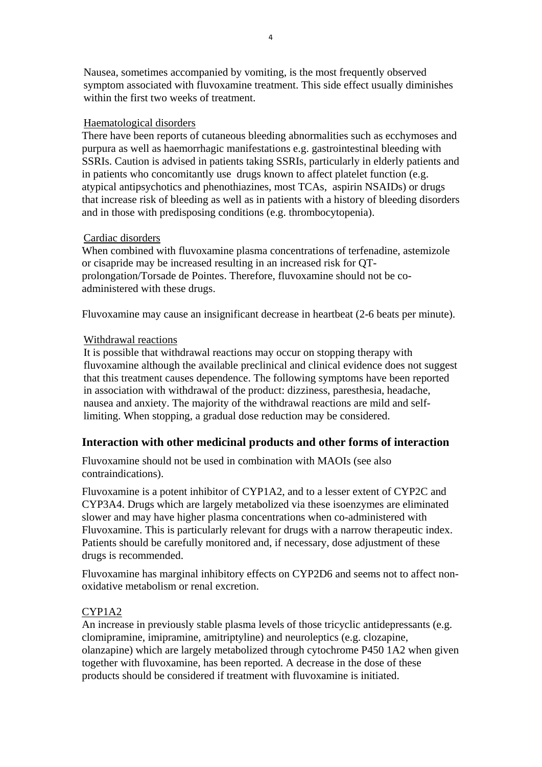Nausea, sometimes accompanied by vomiting, is the most frequently observed symptom associated with fluvoxamine treatment. This side effect usually diminishes within the first two weeks of treatment.

#### Haematological disorders

There have been reports of cutaneous bleeding abnormalities such as ecchymoses and purpura as well as haemorrhagic manifestations e.g. gastrointestinal bleeding with SSRIs. Caution is advised in patients taking SSRIs, particularly in elderly patients and in patients who concomitantly use drugs known to affect platelet function (e.g. atypical antipsychotics and phenothiazines, most TCAs, aspirin NSAIDs) or drugs that increase risk of bleeding as well as in patients with a history of bleeding disorders and in those with predisposing conditions (e.g. thrombocytopenia).

#### Cardiac disorders

When combined with fluvoxamine plasma concentrations of terfenadine, astemizole or cisapride may be increased resulting in an increased risk for QTprolongation/Torsade de Pointes. Therefore, fluvoxamine should not be coadministered with these drugs.

Fluvoxamine may cause an insignificant decrease in heartbeat (2-6 beats per minute).

#### Withdrawal reactions

It is possible that withdrawal reactions may occur on stopping therapy with fluvoxamine although the available preclinical and clinical evidence does not suggest that this treatment causes dependence. The following symptoms have been reported in association with withdrawal of the product: dizziness, paresthesia, headache, nausea and anxiety. The majority of the withdrawal reactions are mild and selflimiting. When stopping, a gradual dose reduction may be considered.

## **Interaction with other medicinal products and other forms of interaction**

Fluvoxamine should not be used in combination with MAOIs (see also contraindications).

Fluvoxamine is a potent inhibitor of CYP1A2, and to a lesser extent of CYP2C and CYP3A4. Drugs which are largely metabolized via these isoenzymes are eliminated slower and may have higher plasma concentrations when co-administered with Fluvoxamine. This is particularly relevant for drugs with a narrow therapeutic index. Patients should be carefully monitored and, if necessary, dose adjustment of these drugs is recommended.

Fluvoxamine has marginal inhibitory effects on CYP2D6 and seems not to affect nonoxidative metabolism or renal excretion.

#### CYP1A2

An increase in previously stable plasma levels of those tricyclic antidepressants (e.g. clomipramine, imipramine, amitriptyline) and neuroleptics (e.g. clozapine, olanzapine) which are largely metabolized through cytochrome P450 1A2 when given together with fluvoxamine, has been reported. A decrease in the dose of these products should be considered if treatment with fluvoxamine is initiated.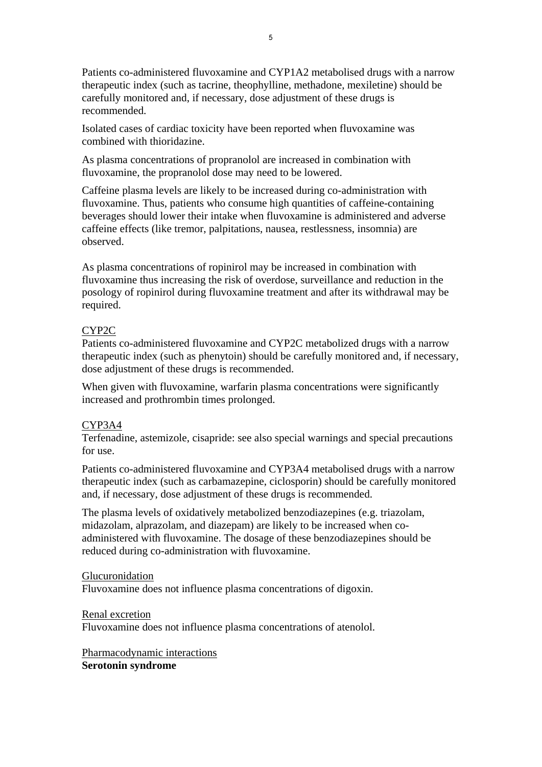Patients co-administered fluvoxamine and CYP1A2 metabolised drugs with a narrow therapeutic index (such as tacrine, theophylline, methadone, mexiletine) should be carefully monitored and, if necessary, dose adjustment of these drugs is recommended.

Isolated cases of cardiac toxicity have been reported when fluvoxamine was combined with thioridazine.

As plasma concentrations of propranolol are increased in combination with fluvoxamine, the propranolol dose may need to be lowered.

Caffeine plasma levels are likely to be increased during co-administration with fluvoxamine. Thus, patients who consume high quantities of caffeine-containing beverages should lower their intake when fluvoxamine is administered and adverse caffeine effects (like tremor, palpitations, nausea, restlessness, insomnia) are observed.

As plasma concentrations of ropinirol may be increased in combination with fluvoxamine thus increasing the risk of overdose, surveillance and reduction in the posology of ropinirol during fluvoxamine treatment and after its withdrawal may be required.

## CYP2C

Patients co-administered fluvoxamine and CYP2C metabolized drugs with a narrow therapeutic index (such as phenytoin) should be carefully monitored and, if necessary, dose adjustment of these drugs is recommended.

When given with fluvoxamine, warfarin plasma concentrations were significantly increased and prothrombin times prolonged.

#### CYP3A4

Terfenadine, astemizole, cisapride: see also special warnings and special precautions for use.

Patients co-administered fluvoxamine and CYP3A4 metabolised drugs with a narrow therapeutic index (such as carbamazepine, ciclosporin) should be carefully monitored and, if necessary, dose adjustment of these drugs is recommended.

The plasma levels of oxidatively metabolized benzodiazepines (e.g. triazolam, midazolam, alprazolam, and diazepam) are likely to be increased when coadministered with fluvoxamine. The dosage of these benzodiazepines should be reduced during co-administration with fluvoxamine.

#### Glucuronidation

Fluvoxamine does not influence plasma concentrations of digoxin.

#### Renal excretion

Fluvoxamine does not influence plasma concentrations of atenolol.

Pharmacodynamic interactions **Serotonin syndrome**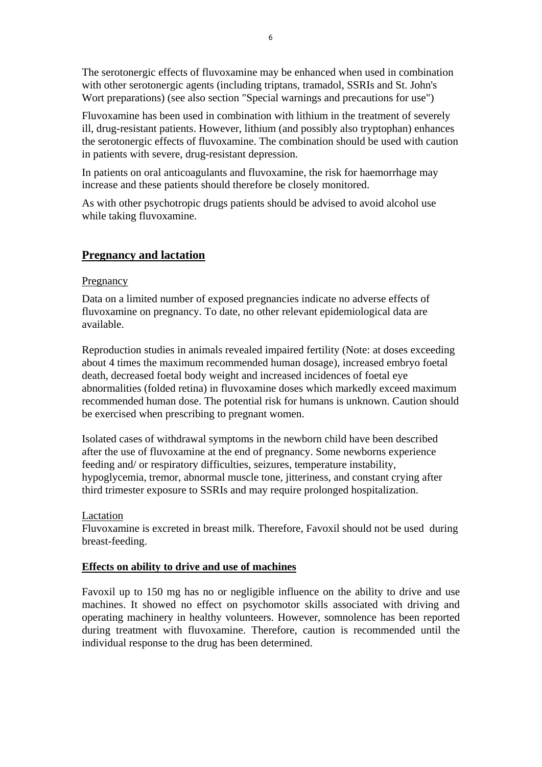The serotonergic effects of fluvoxamine may be enhanced when used in combination with other serotonergic agents (including triptans, tramadol, SSRIs and St. John's Wort preparations) (see also section "Special warnings and precautions for use")

Fluvoxamine has been used in combination with lithium in the treatment of severely ill, drug-resistant patients. However, lithium (and possibly also tryptophan) enhances the serotonergic effects of fluvoxamine. The combination should be used with caution in patients with severe, drug-resistant depression.

In patients on oral anticoagulants and fluvoxamine, the risk for haemorrhage may increase and these patients should therefore be closely monitored.

As with other psychotropic drugs patients should be advised to avoid alcohol use while taking fluvoxamine.

## **Pregnancy and lactation**

#### **Pregnancy**

Data on a limited number of exposed pregnancies indicate no adverse effects of fluvoxamine on pregnancy. To date, no other relevant epidemiological data are available.

Reproduction studies in animals revealed impaired fertility (Note: at doses exceeding about 4 times the maximum recommended human dosage), increased embryo foetal death, decreased foetal body weight and increased incidences of foetal eye abnormalities (folded retina) in fluvoxamine doses which markedly exceed maximum recommended human dose. The potential risk for humans is unknown. Caution should be exercised when prescribing to pregnant women.

Isolated cases of withdrawal symptoms in the newborn child have been described after the use of fluvoxamine at the end of pregnancy. Some newborns experience feeding and/ or respiratory difficulties, seizures, temperature instability, hypoglycemia, tremor, abnormal muscle tone, jitteriness, and constant crying after third trimester exposure to SSRIs and may require prolonged hospitalization.

#### Lactation

Fluvoxamine is excreted in breast milk. Therefore, Favoxil should not be used during breast-feeding.

## **Effects on ability to drive and use of machines**

Favoxil up to 150 mg has no or negligible influence on the ability to drive and use machines. It showed no effect on psychomotor skills associated with driving and operating machinery in healthy volunteers. However, somnolence has been reported during treatment with fluvoxamine. Therefore, caution is recommended until the individual response to the drug has been determined.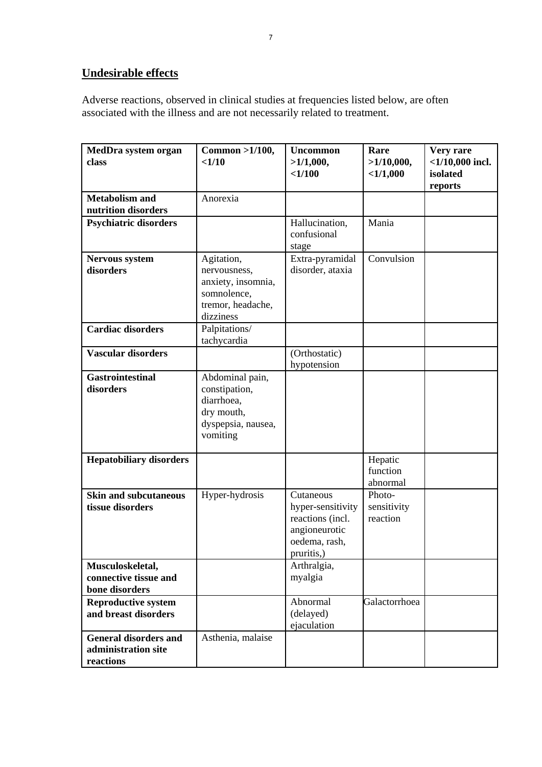## **Undesirable effects**

Adverse reactions, observed in clinical studies at frequencies listed below, are often associated with the illness and are not necessarily related to treatment.

| MedDra system organ<br>class                                     | $Common > 1/100$ ,<br><1/10                                                                       | <b>Uncommon</b><br>>1/1,000,<br><1/100                                                             | Rare<br>>1/10,000,<br><1/1,000    | Very rare<br>$<$ 1/10,000 incl.<br>isolated<br>reports |
|------------------------------------------------------------------|---------------------------------------------------------------------------------------------------|----------------------------------------------------------------------------------------------------|-----------------------------------|--------------------------------------------------------|
| <b>Metabolism and</b><br>nutrition disorders                     | Anorexia                                                                                          |                                                                                                    |                                   |                                                        |
| <b>Psychiatric disorders</b>                                     |                                                                                                   | Hallucination,<br>confusional<br>stage                                                             | Mania                             |                                                        |
| <b>Nervous system</b><br>disorders                               | Agitation,<br>nervousness,<br>anxiety, insomnia,<br>somnolence,<br>tremor, headache,<br>dizziness | Extra-pyramidal<br>disorder, ataxia                                                                | Convulsion                        |                                                        |
| <b>Cardiac disorders</b>                                         | Palpitations/<br>tachycardia                                                                      |                                                                                                    |                                   |                                                        |
| <b>Vascular disorders</b>                                        |                                                                                                   | (Orthostatic)<br>hypotension                                                                       |                                   |                                                        |
| <b>Gastrointestinal</b><br>disorders                             | Abdominal pain,<br>constipation,<br>diarrhoea,<br>dry mouth,<br>dyspepsia, nausea,<br>vomiting    |                                                                                                    |                                   |                                                        |
| <b>Hepatobiliary disorders</b>                                   |                                                                                                   |                                                                                                    | Hepatic<br>function<br>abnormal   |                                                        |
| <b>Skin and subcutaneous</b><br>tissue disorders                 | Hyper-hydrosis                                                                                    | Cutaneous<br>hyper-sensitivity<br>reactions (incl.<br>angioneurotic<br>oedema, rash,<br>pruritis,) | Photo-<br>sensitivity<br>reaction |                                                        |
| Musculoskeletal,<br>connective tissue and<br>bone disorders      |                                                                                                   | Arthralgia,<br>myalgia                                                                             |                                   |                                                        |
| <b>Reproductive system</b><br>and breast disorders               |                                                                                                   | Abnormal<br>(delayed)<br>ejaculation                                                               | Galactorrhoea                     |                                                        |
| <b>General disorders and</b><br>administration site<br>reactions | Asthenia, malaise                                                                                 |                                                                                                    |                                   |                                                        |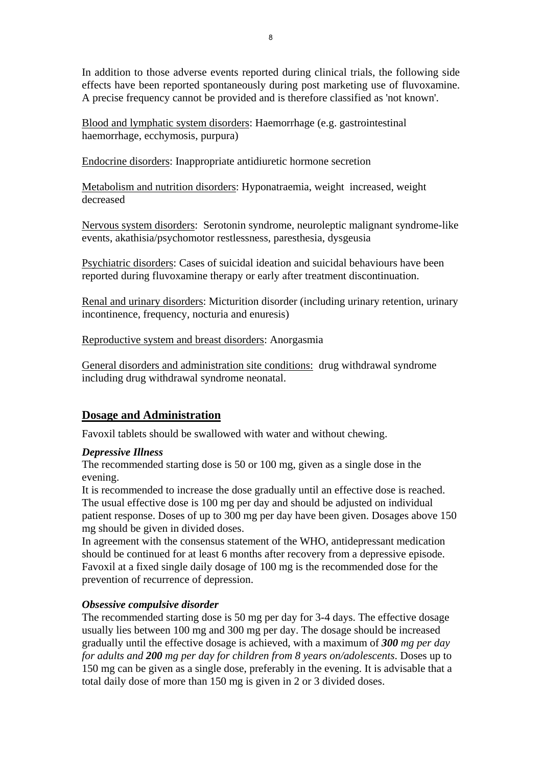In addition to those adverse events reported during clinical trials, the following side effects have been reported spontaneously during post marketing use of fluvoxamine. A precise frequency cannot be provided and is therefore classified as 'not known'.

Blood and lymphatic system disorders: Haemorrhage (e.g. gastrointestinal haemorrhage, ecchymosis, purpura)

Endocrine disorders: Inappropriate antidiuretic hormone secretion

Metabolism and nutrition disorders: Hyponatraemia, weight increased, weight decreased

Nervous system disorders: Serotonin syndrome, neuroleptic malignant syndrome-like events, akathisia/psychomotor restlessness, paresthesia, dysgeusia

Psychiatric disorders: Cases of suicidal ideation and suicidal behaviours have been reported during fluvoxamine therapy or early after treatment discontinuation.

Renal and urinary disorders: Micturition disorder (including urinary retention, urinary incontinence, frequency, nocturia and enuresis)

Reproductive system and breast disorders: Anorgasmia

General disorders and administration site conditions: drug withdrawal syndrome including drug withdrawal syndrome neonatal.

## **Dosage and Administration**

Favoxil tablets should be swallowed with water and without chewing.

## *Depressive Illness*

The recommended starting dose is 50 or 100 mg, given as a single dose in the evening.

It is recommended to increase the dose gradually until an effective dose is reached. The usual effective dose is 100 mg per day and should be adjusted on individual patient response. Doses of up to 300 mg per day have been given. Dosages above 150 mg should be given in divided doses.

In agreement with the consensus statement of the WHO, antidepressant medication should be continued for at least 6 months after recovery from a depressive episode. Favoxil at a fixed single daily dosage of 100 mg is the recommended dose for the prevention of recurrence of depression.

## *Obsessive compulsive disorder*

The recommended starting dose is 50 mg per day for 3-4 days. The effective dosage usually lies between 100 mg and 300 mg per day. The dosage should be increased gradually until the effective dosage is achieved, with a maximum of *300 mg per day for adults and 200 mg per day for children from 8 years on/adolescents*. Doses up to 150 mg can be given as a single dose, preferably in the evening. It is advisable that a total daily dose of more than 150 mg is given in 2 or 3 divided doses.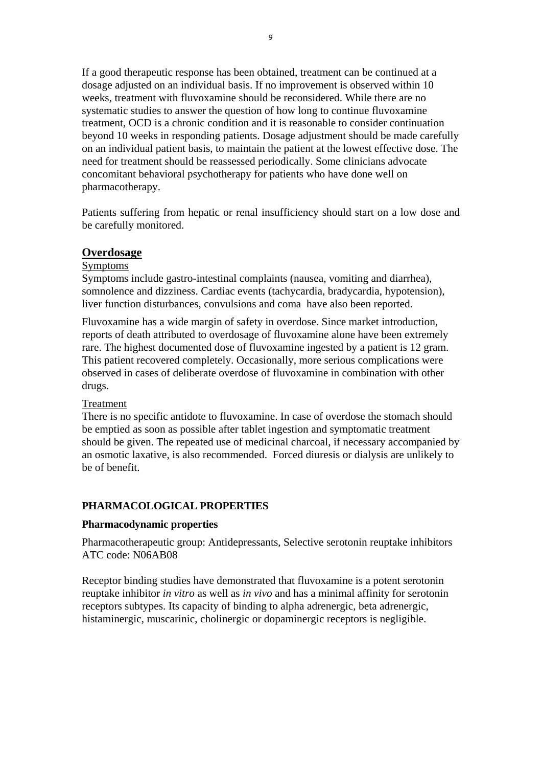If a good therapeutic response has been obtained, treatment can be continued at a dosage adjusted on an individual basis. If no improvement is observed within 10 weeks, treatment with fluvoxamine should be reconsidered. While there are no systematic studies to answer the question of how long to continue fluvoxamine treatment, OCD is a chronic condition and it is reasonable to consider continuation beyond 10 weeks in responding patients. Dosage adjustment should be made carefully on an individual patient basis, to maintain the patient at the lowest effective dose. The need for treatment should be reassessed periodically. Some clinicians advocate concomitant behavioral psychotherapy for patients who have done well on pharmacotherapy.

Patients suffering from hepatic or renal insufficiency should start on a low dose and be carefully monitored.

#### **Overdosage**

#### Symptoms

Symptoms include gastro-intestinal complaints (nausea, vomiting and diarrhea), somnolence and dizziness. Cardiac events (tachycardia, bradycardia, hypotension), liver function disturbances, convulsions and coma have also been reported.

Fluvoxamine has a wide margin of safety in overdose. Since market introduction, reports of death attributed to overdosage of fluvoxamine alone have been extremely rare. The highest documented dose of fluvoxamine ingested by a patient is 12 gram. This patient recovered completely. Occasionally, more serious complications were observed in cases of deliberate overdose of fluvoxamine in combination with other drugs.

#### Treatment

There is no specific antidote to fluvoxamine. In case of overdose the stomach should be emptied as soon as possible after tablet ingestion and symptomatic treatment should be given. The repeated use of medicinal charcoal, if necessary accompanied by an osmotic laxative, is also recommended. Forced diuresis or dialysis are unlikely to be of benefit.

#### **PHARMACOLOGICAL PROPERTIES**

#### **Pharmacodynamic properties**

Pharmacotherapeutic group: Antidepressants, Selective serotonin reuptake inhibitors ATC code: N06AB08

Receptor binding studies have demonstrated that fluvoxamine is a potent serotonin reuptake inhibitor *in vitro* as well as *in vivo* and has a minimal affinity for serotonin receptors subtypes. Its capacity of binding to alpha adrenergic, beta adrenergic, histaminergic, muscarinic, cholinergic or dopaminergic receptors is negligible.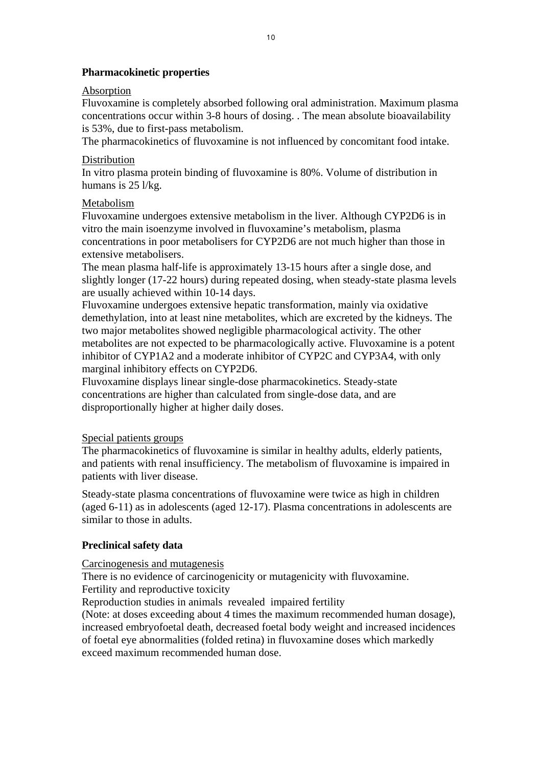## **Pharmacokinetic properties**

### Absorption

Fluvoxamine is completely absorbed following oral administration. Maximum plasma concentrations occur within 3-8 hours of dosing. . The mean absolute bioavailability is 53%, due to first-pass metabolism.

The pharmacokinetics of fluvoxamine is not influenced by concomitant food intake.

## Distribution

In vitro plasma protein binding of fluvoxamine is 80%. Volume of distribution in humans is 25 l/kg.

## Metabolism

Fluvoxamine undergoes extensive metabolism in the liver. Although CYP2D6 is in vitro the main isoenzyme involved in fluvoxamine's metabolism, plasma concentrations in poor metabolisers for CYP2D6 are not much higher than those in extensive metabolisers.

The mean plasma half-life is approximately 13-15 hours after a single dose, and slightly longer (17-22 hours) during repeated dosing, when steady-state plasma levels are usually achieved within 10-14 days.

Fluvoxamine undergoes extensive hepatic transformation, mainly via oxidative demethylation, into at least nine metabolites, which are excreted by the kidneys. The two major metabolites showed negligible pharmacological activity. The other metabolites are not expected to be pharmacologically active. Fluvoxamine is a potent inhibitor of CYP1A2 and a moderate inhibitor of CYP2C and CYP3A4, with only marginal inhibitory effects on CYP2D6.

Fluvoxamine displays linear single-dose pharmacokinetics. Steady-state concentrations are higher than calculated from single-dose data, and are disproportionally higher at higher daily doses.

## Special patients groups

The pharmacokinetics of fluvoxamine is similar in healthy adults, elderly patients, and patients with renal insufficiency. The metabolism of fluvoxamine is impaired in patients with liver disease.

Steady-state plasma concentrations of fluvoxamine were twice as high in children (aged 6-11) as in adolescents (aged 12-17). Plasma concentrations in adolescents are similar to those in adults.

## **Preclinical safety data**

Carcinogenesis and mutagenesis

There is no evidence of carcinogenicity or mutagenicity with fluvoxamine.

Fertility and reproductive toxicity

Reproduction studies in animals revealed impaired fertility

(Note: at doses exceeding about 4 times the maximum recommended human dosage), increased embryofoetal death, decreased foetal body weight and increased incidences of foetal eye abnormalities (folded retina) in fluvoxamine doses which markedly exceed maximum recommended human dose.